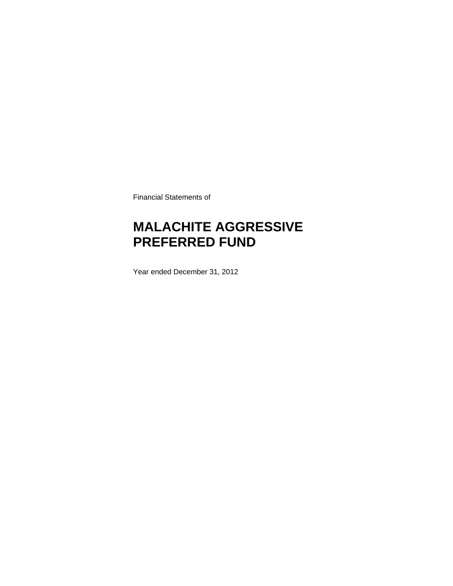Financial Statements of

## **MALACHITE AGGRESSIVE PREFERRED FUND**

Year ended December 31, 2012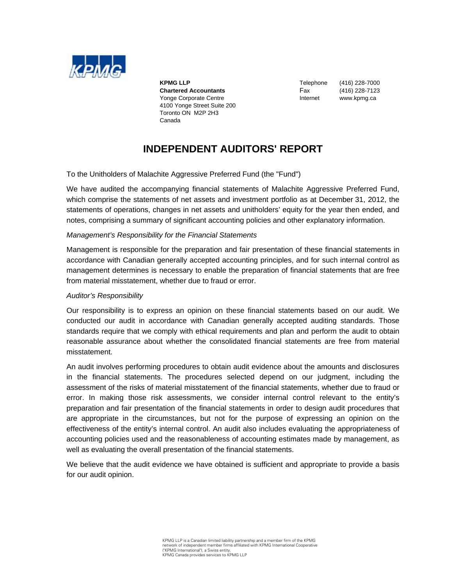

**KPMG LLP** Telephone (416) 228-7000 **Chartered Accountants** Fax (416) 228-7123 Yonge Corporate Centre **Internet** Www.kpmg.ca 4100 Yonge Street Suite 200 Toronto ON M2P 2H3 Canada

### **INDEPENDENT AUDITORS' REPORT**

To the Unitholders of Malachite Aggressive Preferred Fund (the "Fund")

We have audited the accompanying financial statements of Malachite Aggressive Preferred Fund, which comprise the statements of net assets and investment portfolio as at December 31, 2012, the statements of operations, changes in net assets and unitholders' equity for the year then ended, and notes, comprising a summary of significant accounting policies and other explanatory information.

#### *Management's Responsibility for the Financial Statements*

Management is responsible for the preparation and fair presentation of these financial statements in accordance with Canadian generally accepted accounting principles, and for such internal control as management determines is necessary to enable the preparation of financial statements that are free from material misstatement, whether due to fraud or error.

#### *Auditor's Responsibility*

Our responsibility is to express an opinion on these financial statements based on our audit. We conducted our audit in accordance with Canadian generally accepted auditing standards. Those standards require that we comply with ethical requirements and plan and perform the audit to obtain reasonable assurance about whether the consolidated financial statements are free from material misstatement.

An audit involves performing procedures to obtain audit evidence about the amounts and disclosures in the financial statements. The procedures selected depend on our judgment, including the assessment of the risks of material misstatement of the financial statements, whether due to fraud or error. In making those risk assessments, we consider internal control relevant to the entity's preparation and fair presentation of the financial statements in order to design audit procedures that are appropriate in the circumstances, but not for the purpose of expressing an opinion on the effectiveness of the entity's internal control. An audit also includes evaluating the appropriateness of accounting policies used and the reasonableness of accounting estimates made by management, as well as evaluating the overall presentation of the financial statements.

We believe that the audit evidence we have obtained is sufficient and appropriate to provide a basis for our audit opinion.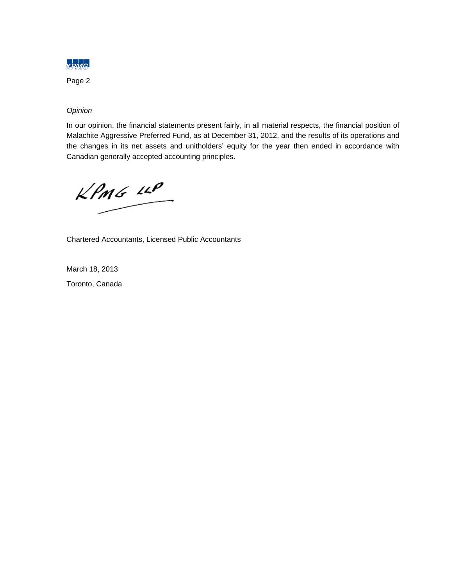

Page 2

#### *Opinion*

In our opinion, the financial statements present fairly, in all material respects, the financial position of Malachite Aggressive Preferred Fund, as at December 31, 2012, and the results of its operations and the changes in its net assets and unitholders' equity for the year then ended in accordance with Canadian generally accepted accounting principles.

 $KPMG$  14P

Chartered Accountants, Licensed Public Accountants

March 18, 2013

Toronto, Canada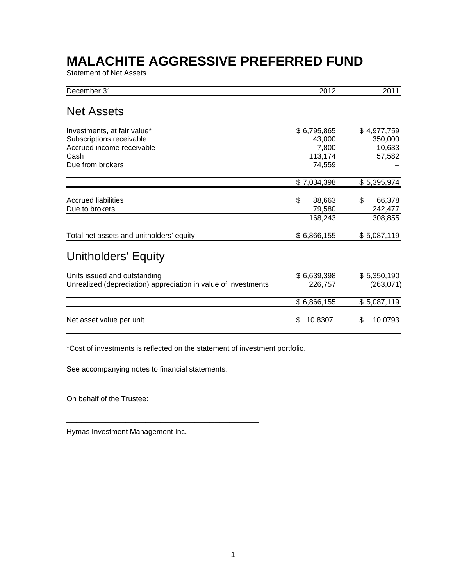Statement of Net Assets

| December 31                                                                                                      | 2012                                                | 2011                                       |
|------------------------------------------------------------------------------------------------------------------|-----------------------------------------------------|--------------------------------------------|
| <b>Net Assets</b>                                                                                                |                                                     |                                            |
| Investments, at fair value*<br>Subscriptions receivable<br>Accrued income receivable<br>Cash<br>Due from brokers | \$6,795,865<br>43,000<br>7,800<br>113,174<br>74,559 | \$4,977,759<br>350,000<br>10,633<br>57,582 |
|                                                                                                                  | \$7,034,398                                         | \$5,395,974                                |
| <b>Accrued liabilities</b><br>Due to brokers                                                                     | \$<br>88,663<br>79,580<br>168,243                   | \$<br>66,378<br>242,477<br>308,855         |
| Total net assets and unitholders' equity                                                                         | \$6,866,155                                         | \$5,087,119                                |
| <b>Unitholders' Equity</b>                                                                                       |                                                     |                                            |
| Units issued and outstanding<br>Unrealized (depreciation) appreciation in value of investments                   | \$6,639,398<br>226,757                              | \$5,350,190<br>(263, 071)                  |
|                                                                                                                  | \$6,866,155                                         | \$5,087,119                                |
|                                                                                                                  |                                                     |                                            |
| Net asset value per unit                                                                                         | \$<br>10.8307                                       | \$<br>10.0793                              |

\*Cost of investments is reflected on the statement of investment portfolio.

See accompanying notes to financial statements.

\_\_\_\_\_\_\_\_\_\_\_\_\_\_\_\_\_\_\_\_\_\_\_\_\_\_\_\_\_\_\_\_\_\_\_\_\_\_\_

On behalf of the Trustee:

Hymas Investment Management Inc.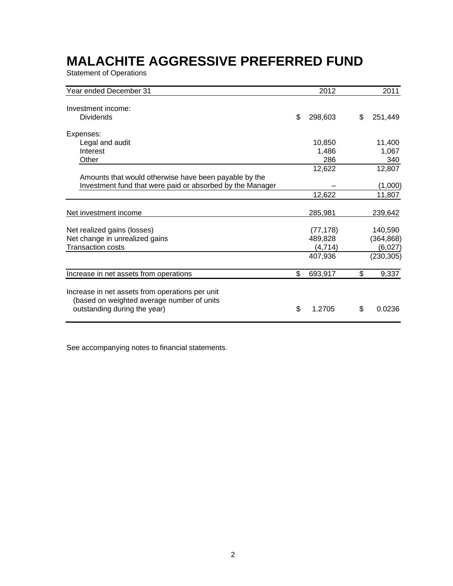Statement of Operations

| Year ended December 31                                    | 2012          | 2011          |
|-----------------------------------------------------------|---------------|---------------|
|                                                           |               |               |
| Investment income:                                        |               |               |
| <b>Dividends</b>                                          | \$<br>298,603 | \$<br>251,449 |
| Expenses:                                                 |               |               |
| Legal and audit                                           | 10,850        | 11,400        |
| Interest                                                  | 1,486         | 1,067         |
| Other                                                     | 286           | 340           |
|                                                           | 12,622        | 12,807        |
| Amounts that would otherwise have been payable by the     |               |               |
| Investment fund that were paid or absorbed by the Manager |               | (1,000)       |
|                                                           | 12,622        | 11,807        |
|                                                           |               |               |
| Net investment income                                     | 285,981       | 239,642       |
|                                                           |               |               |
| Net realized gains (losses)                               | (77, 178)     | 140,590       |
| Net change in unrealized gains                            | 489,828       | (364, 868)    |
| <b>Transaction costs</b>                                  | (4, 714)      | (6,027)       |
|                                                           | 407,936       | (230, 305)    |
| Increase in net assets from operations                    | \$<br>693,917 | \$<br>9,337   |
|                                                           |               |               |
| Increase in net assets from operations per unit           |               |               |
| (based on weighted average number of units                |               |               |
| outstanding during the year)                              | \$<br>1.2705  | \$<br>0.0236  |
|                                                           |               |               |

See accompanying notes to financial statements.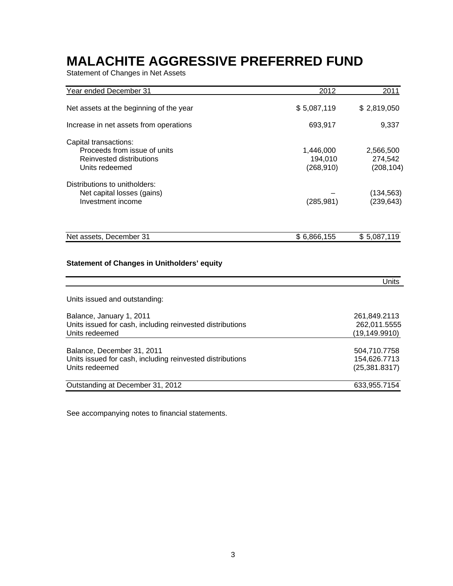Statement of Changes in Net Assets

| Year ended December 31                                                                              | 2012                               | 2011                               |
|-----------------------------------------------------------------------------------------------------|------------------------------------|------------------------------------|
| Net assets at the beginning of the year                                                             | \$5,087,119                        | \$2,819,050                        |
| Increase in net assets from operations                                                              | 693,917                            | 9,337                              |
| Capital transactions:<br>Proceeds from issue of units<br>Reinvested distributions<br>Units redeemed | 1,446,000<br>194,010<br>(268, 910) | 2,566,500<br>274,542<br>(208, 104) |
| Distributions to unitholders:<br>Net capital losses (gains)<br>Investment income                    | (285, 981)                         | (134, 563)<br>(239, 643)           |
| Net assets, December 31                                                                             | \$6,866,155                        | \$5,087,119                        |

### **Statement of Changes in Unitholders' equity**

|                                                                                                           | Units                                          |
|-----------------------------------------------------------------------------------------------------------|------------------------------------------------|
| Units issued and outstanding:                                                                             |                                                |
| Balance, January 1, 2011<br>Units issued for cash, including reinvested distributions<br>Units redeemed   | 261,849.2113<br>262,011.5555<br>(19,149.9910)  |
| Balance, December 31, 2011<br>Units issued for cash, including reinvested distributions<br>Units redeemed | 504,710.7758<br>154,626.7713<br>(25, 381.8317) |
| Outstanding at December 31, 2012                                                                          | 633,955.7154                                   |

See accompanying notes to financial statements.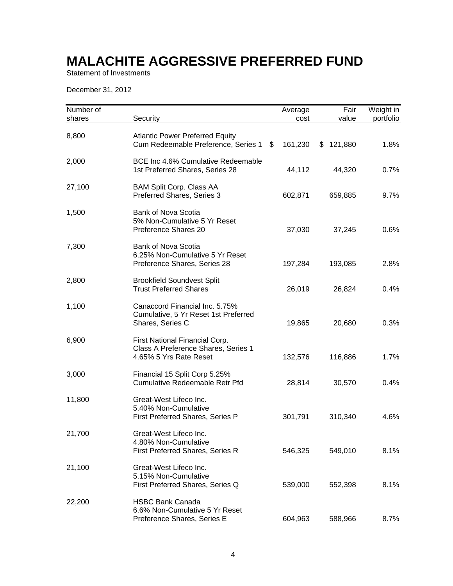Statement of Investments

December 31, 2012

| Number of<br>shares | Security                                                                                        | Average<br>cost | Fair<br>value | Weight in<br>portfolio |
|---------------------|-------------------------------------------------------------------------------------------------|-----------------|---------------|------------------------|
| 8,800               | <b>Atlantic Power Preferred Equity</b><br>Cum Redeemable Preference, Series 1                   | \$<br>161,230   | \$<br>121,880 | 1.8%                   |
| 2,000               | <b>BCE Inc 4.6% Cumulative Redeemable</b><br>1st Preferred Shares, Series 28                    | 44,112          | 44,320        | 0.7%                   |
| 27,100              | <b>BAM Split Corp. Class AA</b><br>Preferred Shares, Series 3                                   | 602,871         | 659,885       | 9.7%                   |
| 1,500               | Bank of Nova Scotia<br>5% Non-Cumulative 5 Yr Reset<br>Preference Shares 20                     | 37,030          | 37,245        | 0.6%                   |
| 7,300               | <b>Bank of Nova Scotia</b><br>6.25% Non-Cumulative 5 Yr Reset<br>Preference Shares, Series 28   | 197,284         | 193,085       | 2.8%                   |
| 2,800               | <b>Brookfield Soundvest Split</b><br><b>Trust Preferred Shares</b>                              | 26,019          | 26,824        | 0.4%                   |
| 1,100               | Canaccord Financial Inc. 5.75%<br>Cumulative, 5 Yr Reset 1st Preferred<br>Shares, Series C      | 19,865          | 20,680        | 0.3%                   |
| 6,900               | First National Financial Corp.<br>Class A Preference Shares, Series 1<br>4.65% 5 Yrs Rate Reset | 132,576         | 116,886       | 1.7%                   |
| 3,000               | Financial 15 Split Corp 5.25%<br><b>Cumulative Redeemable Retr Pfd</b>                          | 28,814          | 30,570        | 0.4%                   |
| 11,800              | Great-West Lifeco Inc.<br>5.40% Non-Cumulative<br>First Preferred Shares, Series P              | 301,791         | 310,340       | 4.6%                   |
| 21,700              | Great-West Lifeco Inc.<br>4.80% Non-Cumulative<br>First Preferred Shares, Series R              | 546,325         | 549,010       | 8.1%                   |
| 21,100              | Great-West Lifeco Inc.<br>5.15% Non-Cumulative<br>First Preferred Shares, Series Q              | 539,000         | 552,398       | 8.1%                   |
| 22,200              | <b>HSBC Bank Canada</b><br>6.6% Non-Cumulative 5 Yr Reset<br>Preference Shares, Series E        | 604,963         | 588,966       | 8.7%                   |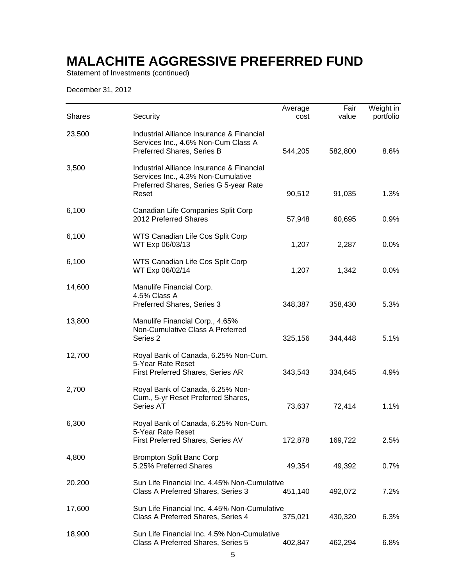Statement of Investments (continued)

December 31, 2012

| <b>Shares</b> | Security                                                                                                                           | Average<br>cost | Fair<br>value | Weight in<br>portfolio |
|---------------|------------------------------------------------------------------------------------------------------------------------------------|-----------------|---------------|------------------------|
| 23,500        | Industrial Alliance Insurance & Financial<br>Services Inc., 4.6% Non-Cum Class A<br>Preferred Shares, Series B                     | 544,205         | 582,800       | 8.6%                   |
| 3,500         | Industrial Alliance Insurance & Financial<br>Services Inc., 4.3% Non-Cumulative<br>Preferred Shares, Series G 5-year Rate<br>Reset | 90,512          | 91,035        | 1.3%                   |
| 6,100         | Canadian Life Companies Split Corp<br>2012 Preferred Shares                                                                        | 57,948          | 60,695        | 0.9%                   |
| 6,100         | WTS Canadian Life Cos Split Corp<br>WT Exp 06/03/13                                                                                | 1,207           | 2,287         | 0.0%                   |
| 6,100         | WTS Canadian Life Cos Split Corp<br>WT Exp 06/02/14                                                                                | 1,207           | 1,342         | 0.0%                   |
| 14,600        | Manulife Financial Corp.<br>4.5% Class A<br>Preferred Shares, Series 3                                                             | 348,387         | 358,430       | 5.3%                   |
| 13,800        | Manulife Financial Corp., 4.65%<br>Non-Cumulative Class A Preferred<br>Series 2                                                    | 325,156         | 344,448       | 5.1%                   |
| 12,700        | Royal Bank of Canada, 6.25% Non-Cum.<br>5-Year Rate Reset<br>First Preferred Shares, Series AR                                     | 343,543         | 334,645       | 4.9%                   |
| 2,700         | Royal Bank of Canada, 6.25% Non-<br>Cum., 5-yr Reset Preferred Shares,<br>Series AT                                                | 73,637          | 72,414        | 1.1%                   |
| 6,300         | Royal Bank of Canada, 6.25% Non-Cum.<br>5-Year Rate Reset<br>First Preferred Shares, Series AV                                     | 172,878         | 169,722       | 2.5%                   |
| 4,800         | <b>Brompton Split Banc Corp</b><br>5.25% Preferred Shares                                                                          | 49,354          | 49,392        | 0.7%                   |
| 20,200        | Sun Life Financial Inc. 4.45% Non-Cumulative<br>Class A Preferred Shares, Series 3                                                 | 451,140         | 492,072       | 7.2%                   |
| 17,600        | Sun Life Financial Inc. 4.45% Non-Cumulative<br>Class A Preferred Shares, Series 4                                                 | 375,021         | 430,320       | 6.3%                   |
| 18,900        | Sun Life Financial Inc. 4.5% Non-Cumulative<br>Class A Preferred Shares, Series 5                                                  | 402,847         | 462,294       | 6.8%                   |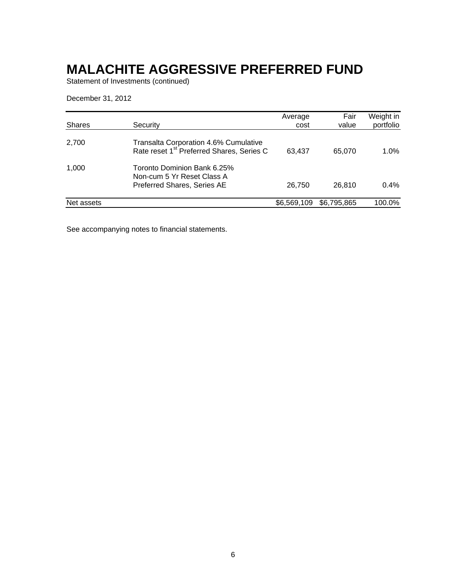Statement of Investments (continued)

December 31, 2012

|               |                                                                                                       | Average     | Fair        | Weight in |
|---------------|-------------------------------------------------------------------------------------------------------|-------------|-------------|-----------|
| <b>Shares</b> | Security                                                                                              | cost        | value       | portfolio |
| 2,700         | <b>Transalta Corporation 4.6% Cumulative</b><br>Rate reset 1 <sup>st</sup> Preferred Shares, Series C | 63,437      | 65,070      | $1.0\%$   |
| 1,000         | Toronto Dominion Bank 6.25%<br>Non-cum 5 Yr Reset Class A<br>Preferred Shares, Series AE              | 26,750      | 26,810      | 0.4%      |
| Net assets    |                                                                                                       | \$6,569,109 | \$6,795,865 | 100.0%    |

See accompanying notes to financial statements.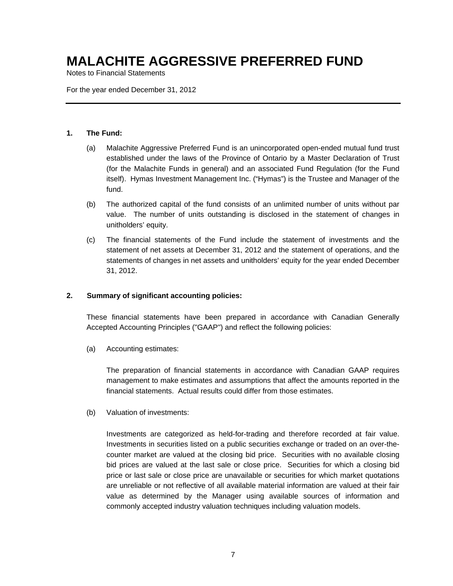Notes to Financial Statements

For the year ended December 31, 2012

#### **1. The Fund:**

- (a) Malachite Aggressive Preferred Fund is an unincorporated open-ended mutual fund trust established under the laws of the Province of Ontario by a Master Declaration of Trust (for the Malachite Funds in general) and an associated Fund Regulation (for the Fund itself). Hymas Investment Management Inc. ("Hymas") is the Trustee and Manager of the fund.
- (b) The authorized capital of the fund consists of an unlimited number of units without par value. The number of units outstanding is disclosed in the statement of changes in unitholders' equity.
- (c) The financial statements of the Fund include the statement of investments and the statement of net assets at December 31, 2012 and the statement of operations, and the statements of changes in net assets and unitholders' equity for the year ended December 31, 2012.

### **2. Summary of significant accounting policies:**

These financial statements have been prepared in accordance with Canadian Generally Accepted Accounting Principles ("GAAP") and reflect the following policies:

(a) Accounting estimates:

The preparation of financial statements in accordance with Canadian GAAP requires management to make estimates and assumptions that affect the amounts reported in the financial statements. Actual results could differ from those estimates.

(b) Valuation of investments:

Investments are categorized as held-for-trading and therefore recorded at fair value. Investments in securities listed on a public securities exchange or traded on an over-thecounter market are valued at the closing bid price. Securities with no available closing bid prices are valued at the last sale or close price. Securities for which a closing bid price or last sale or close price are unavailable or securities for which market quotations are unreliable or not reflective of all available material information are valued at their fair value as determined by the Manager using available sources of information and commonly accepted industry valuation techniques including valuation models.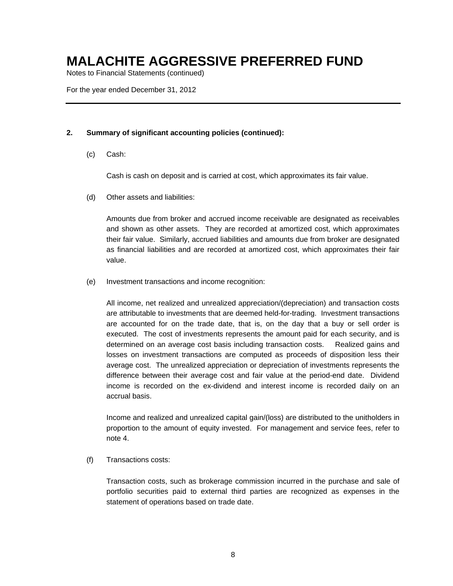Notes to Financial Statements (continued)

For the year ended December 31, 2012

#### **2. Summary of significant accounting policies (continued):**

(c) Cash:

Cash is cash on deposit and is carried at cost, which approximates its fair value.

(d) Other assets and liabilities:

Amounts due from broker and accrued income receivable are designated as receivables and shown as other assets. They are recorded at amortized cost, which approximates their fair value. Similarly, accrued liabilities and amounts due from broker are designated as financial liabilities and are recorded at amortized cost, which approximates their fair value.

(e) Investment transactions and income recognition:

All income, net realized and unrealized appreciation/(depreciation) and transaction costs are attributable to investments that are deemed held-for-trading. Investment transactions are accounted for on the trade date, that is, on the day that a buy or sell order is executed. The cost of investments represents the amount paid for each security, and is determined on an average cost basis including transaction costs. Realized gains and losses on investment transactions are computed as proceeds of disposition less their average cost. The unrealized appreciation or depreciation of investments represents the difference between their average cost and fair value at the period-end date. Dividend income is recorded on the ex-dividend and interest income is recorded daily on an accrual basis.

Income and realized and unrealized capital gain/(loss) are distributed to the unitholders in proportion to the amount of equity invested. For management and service fees, refer to note 4.

(f) Transactions costs:

Transaction costs, such as brokerage commission incurred in the purchase and sale of portfolio securities paid to external third parties are recognized as expenses in the statement of operations based on trade date.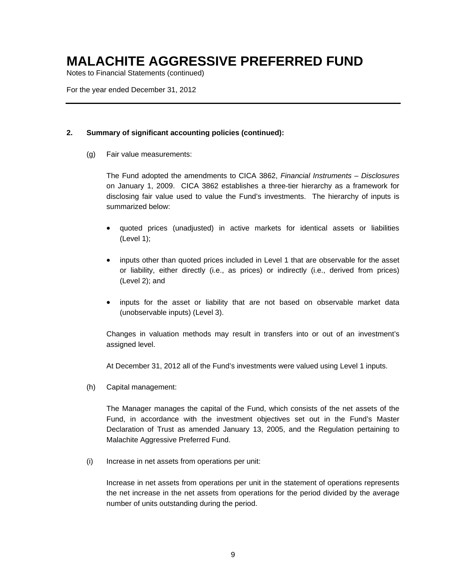Notes to Financial Statements (continued)

For the year ended December 31, 2012

#### **2. Summary of significant accounting policies (continued):**

(g) Fair value measurements:

The Fund adopted the amendments to CICA 3862, *Financial Instruments – Disclosures*  on January 1, 2009. CICA 3862 establishes a three-tier hierarchy as a framework for disclosing fair value used to value the Fund's investments. The hierarchy of inputs is summarized below:

- quoted prices (unadjusted) in active markets for identical assets or liabilities (Level 1);
- inputs other than quoted prices included in Level 1 that are observable for the asset or liability, either directly (i.e., as prices) or indirectly (i.e., derived from prices) (Level 2); and
- inputs for the asset or liability that are not based on observable market data (unobservable inputs) (Level 3).

Changes in valuation methods may result in transfers into or out of an investment's assigned level.

At December 31, 2012 all of the Fund's investments were valued using Level 1 inputs.

(h) Capital management:

The Manager manages the capital of the Fund, which consists of the net assets of the Fund, in accordance with the investment objectives set out in the Fund's Master Declaration of Trust as amended January 13, 2005, and the Regulation pertaining to Malachite Aggressive Preferred Fund.

(i) Increase in net assets from operations per unit:

Increase in net assets from operations per unit in the statement of operations represents the net increase in the net assets from operations for the period divided by the average number of units outstanding during the period.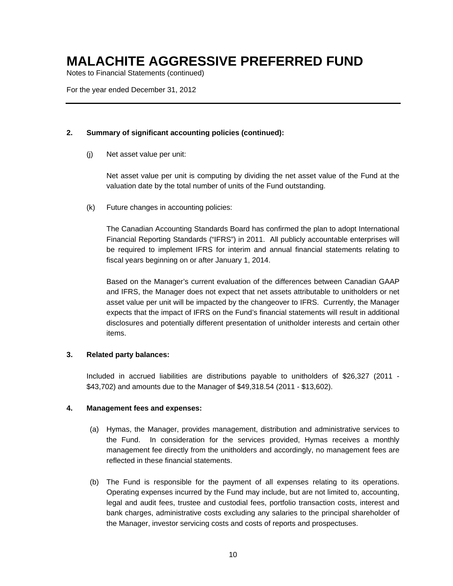Notes to Financial Statements (continued)

For the year ended December 31, 2012

#### **2. Summary of significant accounting policies (continued):**

(j) Net asset value per unit:

Net asset value per unit is computing by dividing the net asset value of the Fund at the valuation date by the total number of units of the Fund outstanding.

(k) Future changes in accounting policies:

The Canadian Accounting Standards Board has confirmed the plan to adopt International Financial Reporting Standards ("IFRS") in 2011. All publicly accountable enterprises will be required to implement IFRS for interim and annual financial statements relating to fiscal years beginning on or after January 1, 2014.

Based on the Manager's current evaluation of the differences between Canadian GAAP and IFRS, the Manager does not expect that net assets attributable to unitholders or net asset value per unit will be impacted by the changeover to IFRS. Currently, the Manager expects that the impact of IFRS on the Fund's financial statements will result in additional disclosures and potentially different presentation of unitholder interests and certain other items.

### **3. Related party balances:**

Included in accrued liabilities are distributions payable to unitholders of \$26,327 (2011 - \$43,702) and amounts due to the Manager of \$49,318.54 (2011 - \$13,602).

#### **4. Management fees and expenses:**

- (a) Hymas, the Manager, provides management, distribution and administrative services to the Fund. In consideration for the services provided, Hymas receives a monthly management fee directly from the unitholders and accordingly, no management fees are reflected in these financial statements.
- (b) The Fund is responsible for the payment of all expenses relating to its operations. Operating expenses incurred by the Fund may include, but are not limited to, accounting, legal and audit fees, trustee and custodial fees, portfolio transaction costs, interest and bank charges, administrative costs excluding any salaries to the principal shareholder of the Manager, investor servicing costs and costs of reports and prospectuses.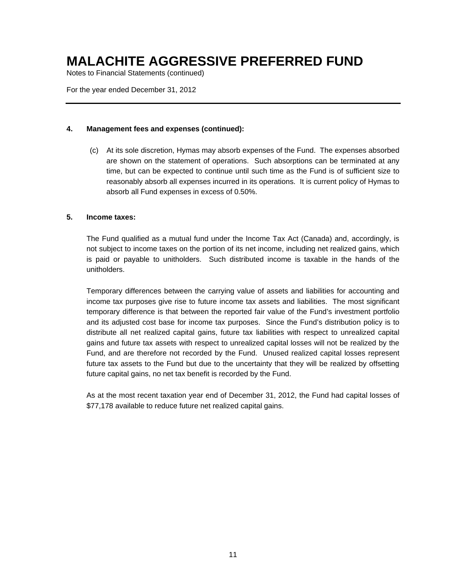Notes to Financial Statements (continued)

For the year ended December 31, 2012

#### **4. Management fees and expenses (continued):**

(c) At its sole discretion, Hymas may absorb expenses of the Fund. The expenses absorbed are shown on the statement of operations. Such absorptions can be terminated at any time, but can be expected to continue until such time as the Fund is of sufficient size to reasonably absorb all expenses incurred in its operations. It is current policy of Hymas to absorb all Fund expenses in excess of 0.50%.

#### **5. Income taxes:**

The Fund qualified as a mutual fund under the Income Tax Act (Canada) and, accordingly, is not subject to income taxes on the portion of its net income, including net realized gains, which is paid or payable to unitholders. Such distributed income is taxable in the hands of the unitholders.

Temporary differences between the carrying value of assets and liabilities for accounting and income tax purposes give rise to future income tax assets and liabilities. The most significant temporary difference is that between the reported fair value of the Fund's investment portfolio and its adjusted cost base for income tax purposes. Since the Fund's distribution policy is to distribute all net realized capital gains, future tax liabilities with respect to unrealized capital gains and future tax assets with respect to unrealized capital losses will not be realized by the Fund, and are therefore not recorded by the Fund. Unused realized capital losses represent future tax assets to the Fund but due to the uncertainty that they will be realized by offsetting future capital gains, no net tax benefit is recorded by the Fund.

As at the most recent taxation year end of December 31, 2012, the Fund had capital losses of \$77,178 available to reduce future net realized capital gains.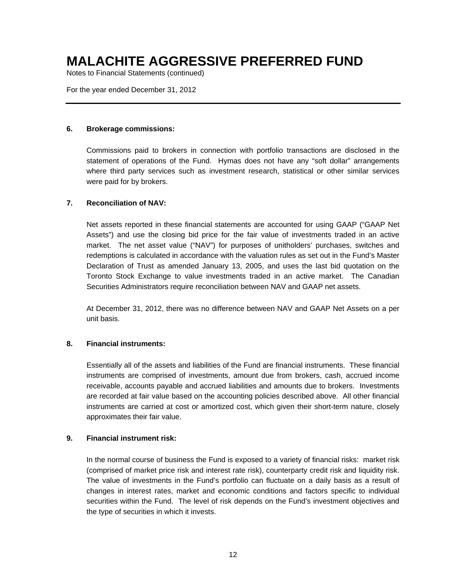Notes to Financial Statements (continued)

For the year ended December 31, 2012

#### **6. Brokerage commissions:**

Commissions paid to brokers in connection with portfolio transactions are disclosed in the statement of operations of the Fund. Hymas does not have any "soft dollar" arrangements where third party services such as investment research, statistical or other similar services were paid for by brokers.

### **7. Reconciliation of NAV:**

Net assets reported in these financial statements are accounted for using GAAP ("GAAP Net Assets") and use the closing bid price for the fair value of investments traded in an active market. The net asset value ("NAV") for purposes of unitholders' purchases, switches and redemptions is calculated in accordance with the valuation rules as set out in the Fund's Master Declaration of Trust as amended January 13, 2005, and uses the last bid quotation on the Toronto Stock Exchange to value investments traded in an active market. The Canadian Securities Administrators require reconciliation between NAV and GAAP net assets.

At December 31, 2012, there was no difference between NAV and GAAP Net Assets on a per unit basis.

### **8. Financial instruments:**

Essentially all of the assets and liabilities of the Fund are financial instruments. These financial instruments are comprised of investments, amount due from brokers, cash, accrued income receivable, accounts payable and accrued liabilities and amounts due to brokers. Investments are recorded at fair value based on the accounting policies described above. All other financial instruments are carried at cost or amortized cost, which given their short-term nature, closely approximates their fair value.

#### **9. Financial instrument risk:**

In the normal course of business the Fund is exposed to a variety of financial risks: market risk (comprised of market price risk and interest rate risk), counterparty credit risk and liquidity risk. The value of investments in the Fund's portfolio can fluctuate on a daily basis as a result of changes in interest rates, market and economic conditions and factors specific to individual securities within the Fund. The level of risk depends on the Fund's investment objectives and the type of securities in which it invests.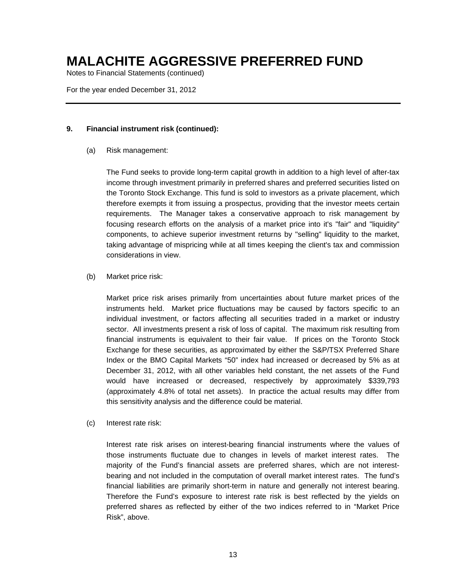Notes to Financial Statements (continued)

For the year ended December 31, 2012

#### **9. Financial instrument risk (continued):**

(a) Risk management:

The Fund seeks to provide long-term capital growth in addition to a high level of after-tax income through investment primarily in preferred shares and preferred securities listed on the Toronto Stock Exchange. This fund is sold to investors as a private placement, which therefore exempts it from issuing a prospectus, providing that the investor meets certain requirements. The Manager takes a conservative approach to risk management by focusing research efforts on the analysis of a market price into it's "fair" and "liquidity" components, to achieve superior investment returns by "selling" liquidity to the market, taking advantage of mispricing while at all times keeping the client's tax and commission considerations in view.

(b) Market price risk:

Market price risk arises primarily from uncertainties about future market prices of the instruments held. Market price fluctuations may be caused by factors specific to an individual investment, or factors affecting all securities traded in a market or industry sector. All investments present a risk of loss of capital. The maximum risk resulting from financial instruments is equivalent to their fair value. If prices on the Toronto Stock Exchange for these securities, as approximated by either the S&P/TSX Preferred Share Index or the BMO Capital Markets "50" index had increased or decreased by 5% as at December 31, 2012, with all other variables held constant, the net assets of the Fund would have increased or decreased, respectively by approximately \$339,793 (approximately 4.8% of total net assets). In practice the actual results may differ from this sensitivity analysis and the difference could be material.

(c) Interest rate risk:

Interest rate risk arises on interest-bearing financial instruments where the values of those instruments fluctuate due to changes in levels of market interest rates. The majority of the Fund's financial assets are preferred shares, which are not interestbearing and not included in the computation of overall market interest rates. The fund's financial liabilities are primarily short-term in nature and generally not interest bearing. Therefore the Fund's exposure to interest rate risk is best reflected by the yields on preferred shares as reflected by either of the two indices referred to in "Market Price Risk", above.